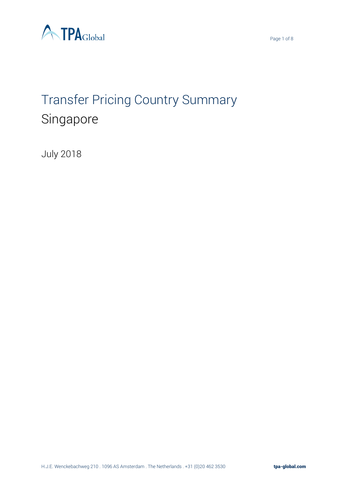



# Transfer Pricing Country Summary Singapore

July 2018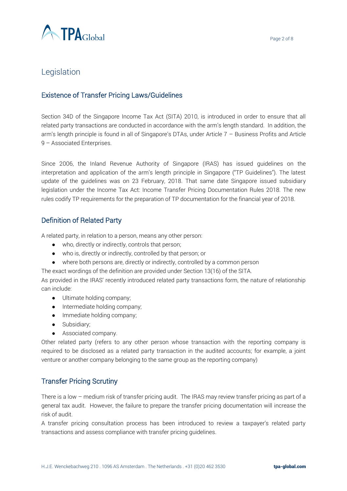

## Legislation

## Existence of Transfer Pricing Laws/Guidelines

Section 34D of the Singapore Income Tax Act (SITA) 2010, is introduced in order to ensure that all related party transactions are conducted in accordance with the arm's length standard. In addition, the arm's length principle is found in all of Singapore's DTAs, under Article 7 – Business Profits and Article 9 – Associated Enterprises.

Since 2006, the Inland Revenue Authority of Singapore (IRAS) has issued guidelines on the interpretation and application of the arm's length principle in Singapore ("TP Guidelines"). The latest update of the guidelines was on 23 February, 2018. That same date Singapore issued subsidiary legislation under the Income Tax Act: Income Transfer Pricing Documentation Rules 2018. The new rules codify TP requirements for the preparation of TP documentation for the financial year of 2018.

## Definition of Related Party

A related party, in relation to a person, means any other person:

- who, directly or indirectly, controls that person;
- who is, directly or indirectly, controlled by that person; or
- where both persons are, directly or indirectly, controlled by a common person

The exact wordings of the definition are provided under Section 13(16) of the SITA.

As provided in the IRAS' recently introduced related party transactions form, the nature of relationship can include:

- Ultimate holding company;
- Intermediate holding company;
- Immediate holding company;
- Subsidiary;
- Associated company.

Other related party (refers to any other person whose transaction with the reporting company is required to be disclosed as a related party transaction in the audited accounts; for example, a joint venture or another company belonging to the same group as the reporting company)

## Transfer Pricing Scrutiny

There is a low – medium risk of transfer pricing audit. The IRAS may review transfer pricing as part of a general tax audit. However, the failure to prepare the transfer pricing documentation will increase the risk of audit.

A transfer pricing consultation process has been introduced to review a taxpayer's related party transactions and assess compliance with transfer pricing guidelines.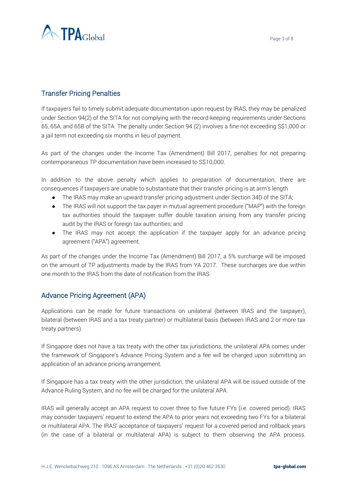

## Transfer Pricing Penalties

If taxpayers fail to timely submit adequate documentation upon request by IRAS, they may be penalized under Section 94(2) of the SITA for not complying with the record-keeping requirements under Sections 65, 65A, and 65B of the SITA. The penalty under Section 94 (2) involves a fine not exceeding S\$1,000 or a jail term not exceeding six months in lieu of payment.

As part of the changes under the Income Tax (Amendment) Bill 2017, penalties for not preparing contemporaneous TP documentation have been increased to S\$10,000.

In addition to the above penalty which applies to preparation of documentation, there are consequences if taxpayers are unable to substantiate that their transfer pricing is at arm's length

- The IRAS may make an upward transfer pricing adjustment under Section 34D of the SITA;
- The IRAS will not support the tax payer in mutual agreement procedure ("MAP") with the foreign tax authorities should the taxpayer suffer double taxation arising from any transfer pricing audit by the IRAS or foreign tax authorities; and
- The IRAS may not accept the application if the taxpayer apply for an advance pricing agreement ("APA") agreement.

As part of the changes under the Income Tax (Amendment) Bill 2017, a 5% surcharge will be imposed on the amount of TP adjustments made by the IRAS from YA 2017. These surcharges are due within one month to the IRAS from the date of notification from the IRAS.

## Advance Pricing Agreement (APA)

Applications can be made for future transactions on unilateral (between IRAS and the taxpayer), bilateral (between IRAS and a tax treaty partner) or multilateral basis (between IRAS and 2 or more tax treaty partners).

If Singapore does not have a tax treaty with the other tax jurisdictions, the unilateral APA comes under the framework of Singapore's Advance Pricing System and a fee will be charged upon submitting an application of an advance pricing arrangement.

If Singapore has a tax treaty with the other jurisdiction, the unilateral APA will be issued outside of the Advance Ruling System, and no fee will be charged for the unilateral APA.

IRAS will generally accept an APA request to cover three to five future FYs (i.e. covered period). IRAS may consider taxpayers' request to extend the APA to prior years not exceeding two FYs for a bilateral or multilateral APA. The IRAS' acceptance of taxpayers' request for a covered period and rollback years (in the case of a bilateral or multilateral APA) is subject to them observing the APA process.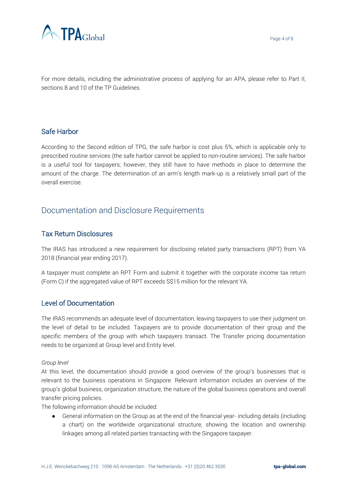

For more details, including the administrative process of applying for an APA, please refer to Part II, sections 8 and 10 of the TP Guidelines.

## Safe Harbor

According to the Second edition of TPG, the safe harbor is cost plus 5%, which is applicable only to prescribed routine services (the safe harbor cannot be applied to non-routine services). The safe harbor is a useful tool for taxpayers; however, they still have to have methods in place to determine the amount of the charge. The determination of an arm's length mark-up is a relatively small part of the overall exercise.

# Documentation and Disclosure Requirements

## Tax Return Disclosures

The IRAS has introduced a new requirement for disclosing related party transactions (RPT) from YA 2018 (financial year ending 2017).

A taxpayer must complete an RPT Form and submit it together with the corporate income tax return (Form C) if the aggregated value of RPT exceeds S\$15 million for the relevant YA.

## Level of Documentation

The IRAS recommends an adequate level of documentation, leaving taxpayers to use their judgment on the level of detail to be included. Taxpayers are to provide documentation of their group and the specific members of the group with which taxpayers transact. The Transfer pricing documentation needs to be organized at Group level and Entity level.

#### *Group level*

At this level, the documentation should provide a good overview of the group's businesses that is relevant to the business operations in Singapore. Relevant information includes an overview of the group's global business, organization structure, the nature of the global business operations and overall transfer pricing policies.

The following information should be included:

● General information on the Group as at the end of the financial year- including details (including a chart) on the worldwide organizational structure, showing the location and ownership linkages among all related parties transacting with the Singapore taxpayer.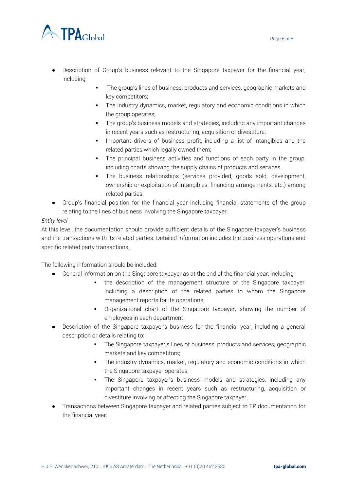

- Description of Group's business relevant to the Singapore taxpayer for the financial year, including:
	- The group's lines of business, products and services, geographic markets and key competitors;
	- **•** The industry dynamics, market, regulatory and economic conditions in which the group operates;
	- The group's business models and strategies, including any important changes in recent years such as restructuring, acquisition or divestiture;
	- Important drivers of business profit, including a list of intangibles and the related parties which legally owned them;
	- **•** The principal business activities and functions of each party in the group, including charts showing the supply chains of products and services.
	- The business relationships (services provided, goods sold, development, ownership or exploitation of intangibles, financing arrangements, etc.) among related parties.
- Group's financial position for the financial year including financial statements of the group relating to the lines of business involving the Singapore taxpayer.

#### *Entity level*

At this level, the documentation should provide sufficient details of the Singapore taxpayer's business and the transactions with its related parties. Detailed information includes the business operations and specific related party transactions.

The following information should be included:

- General information on the Singapore taxpayer as at the end of the financial year, including:
	- the description of the management structure of the Singapore taxpayer, including a description of the related parties to whom the Singapore management reports for its operations;
	- Organizational chart of the Singapore taxpayer, showing the number of employees in each department.
- Description of the Singapore taxpayer's business for the financial year, including a general description or details relating to:
	- **•** The Singapore taxpayer's lines of business, products and services, geographic markets and key competitors;
	- **•** The industry dynamics, market, regulatory and economic conditions in which the Singapore taxpayer operates;
	- The Singapore taxpayer's business models and strategies, including any important changes in recent years such as restructuring, acquisition or divestiture involving or affecting the Singapore taxpayer.
- Transactions between Singapore taxpayer and related parties subject to TP documentation for the financial year: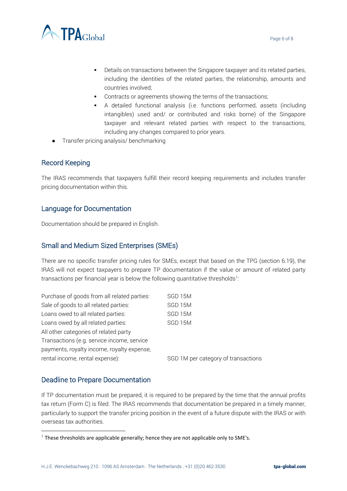

- Details on transactions between the Singapore taxpayer and its related parties, including the identities of the related parties, the relationship, amounts and countries involved;
- Contracts or agreements showing the terms of the transactions;
- A detailed functional analysis (i.e. functions performed, assets (including intangibles) used and/ or contributed and risks borne) of the Singapore taxpayer and relevant related parties with respect to the transactions, including any changes compared to prior years.
- Transfer pricing analysis/ benchmarking

## Record Keeping

The IRAS recommends that taxpayers fulfill their record keeping requirements and includes transfer pricing documentation within this.

## Language for Documentation

Documentation should be prepared in English.

## Small and Medium Sized Enterprises (SMEs)

There are no specific transfer pricing rules for SMEs, except that based on the TPG (section 6.19), the IRAS will not expect taxpayers to prepare TP documentation if the value or amount of related party transactions per financial year is below the following quantitative thresholds $^{\text{\tiny{1}}}$ :

| Purchase of goods from all related parties: | SGD 15M                             |
|---------------------------------------------|-------------------------------------|
| Sale of goods to all related parties:       | SGD 15M                             |
| Loans owed to all related parties:          | SGD 15M                             |
| Loans owed by all related parties:          | SGD 15M                             |
| All other categories of related party       |                                     |
| Transactions (e.g. service income, service  |                                     |
| payments, royalty income, royalty expense,  |                                     |
| rental income, rental expense):             | SGD 1M per category of transactions |

## Deadline to Prepare Documentation

 $\overline{\phantom{a}}$ 

If TP documentation must be prepared, it is required to be prepared by the time that the annual profits tax return (Form C) is filed. The IRAS recommends that documentation be prepared in a timely manner, particularly to support the transfer pricing position in the event of a future dispute with the IRAS or with overseas tax authorities.

 $1$  These thresholds are applicable generally; hence they are not applicable only to SME's.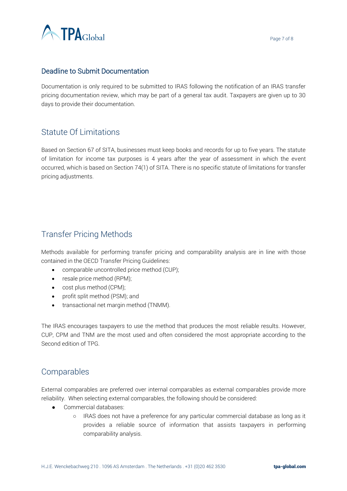

## Deadline to Submit Documentation

Documentation is only required to be submitted to IRAS following the notification of an IRAS transfer pricing documentation review, which may be part of a general tax audit. Taxpayers are given up to 30 days to provide their documentation.

# Statute Of Limitations

Based on Section 67 of SITA, businesses must keep books and records for up to five years. The statute of limitation for income tax purposes is 4 years after the year of assessment in which the event occurred, which is based on Section 74(1) of SITA. There is no specific statute of limitations for transfer pricing adjustments.

# Transfer Pricing Methods

Methods available for performing transfer pricing and comparability analysis are in line with those contained in the OECD Transfer Pricing Guidelines:

- comparable uncontrolled price method (CUP);
- resale price method (RPM);
- cost plus method (CPM);
- profit split method (PSM); and
- transactional net margin method (TNMM).

The IRAS encourages taxpayers to use the method that produces the most reliable results. However, CUP, CPM and TNM are the most used and often considered the most appropriate according to the Second edition of TPG.

## Comparables

External comparables are preferred over internal comparables as external comparables provide more reliability. When selecting external comparables, the following should be considered:

- Commercial databases:
	- IRAS does not have a preference for any particular commercial database as long as it provides a reliable source of information that assists taxpayers in performing comparability analysis.